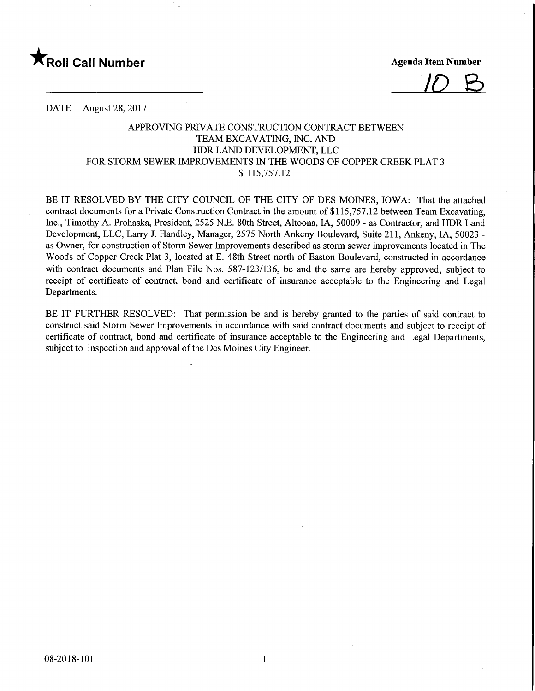

/<0 &

DATE August 28, 2017

## APPROVING PRIVATE CONSTRUCTION CONTRACT BETWEEN TEAM EXCAVATING, INC. AND HDR LAND DEVELOPMENT, LLC FOR STORM SEWER IMPROVEMENTS IN THE WOODS OF COPPER CREEK PLAT 3 \$ 115,757.12

BE IT RESOLVED BY THE CITY COUNCIL OF THE CITY OF DES MOINES, IOWA: That the attached contract documents for a Private Construction Contract in the amount of \$115,757.12 between Team Excavating, Inc., Timothy A. Prohaska, President, 2525 N.E. 80th Street, Altoona, IA, 50009 - as Contractor, and HDR Land Development, LLC, Larry J. Handley, Manager, 2575 North Ankeny Boulevard, Suite 211, Ankeny, IA, 50023 as Owner, for construction of Storm Sewer Improvements described as storm sewer improvements located in The Woods of Copper Creek Plat 3, located at E. 48th Street north of Easton Boulevard, constructed in accordance with contract documents and Plan File Nos. 587-123/136, be and the same are hereby approved, subject to receipt of certificate of contract, bond and certificate of insurance acceptable to the Engineering and Legal Departments.

BE IT FURTHER RESOLVED: That permission be and is hereby granted to the parties of said contract to construct said Storm Sewer Improvements in accordance with said contract documents and subject to receipt of certificate of contract, bond and certificate of insurance acceptable to the Engineering and Legal Departments, subject to inspection and approval of the Des Moines City Engineer.

 $\mathbf{1}$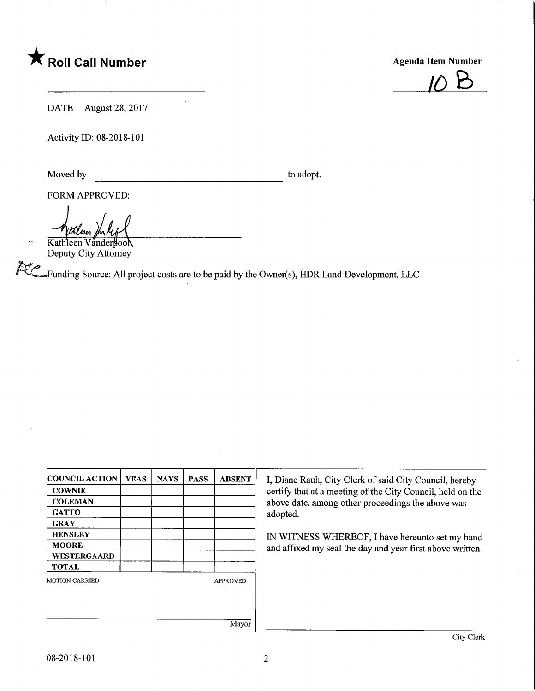



DATE August 28, 2017

Activity ID: 08-2018-101

Moved by to adopt.

FORM APPROVED:

tilm.

Kathleen Vanderpool Deputy City Attorney

^Funding Source: All project costs are to be paid by the Owner(s), HDR Land Development, LLC

| <b>COUNCIL ACTION</b> | <b>YEAS</b> | <b>NAYS</b> | <b>PASS</b> | <b>ABSENT</b>                                              | I, Diane Rauh, City Clerk of said City Council, hereby    |  |  |
|-----------------------|-------------|-------------|-------------|------------------------------------------------------------|-----------------------------------------------------------|--|--|
| <b>COWNIE</b>         |             |             |             | certify that at a meeting of the City Council, held on the |                                                           |  |  |
| <b>COLEMAN</b>        |             |             |             |                                                            | above date, among other proceedings the above was         |  |  |
| <b>GATTO</b>          |             |             |             |                                                            | adopted.                                                  |  |  |
| <b>GRAY</b>           |             |             |             |                                                            | IN WITNESS WHEREOF, I have hereunto set my hand           |  |  |
| <b>HENSLEY</b>        |             |             |             |                                                            |                                                           |  |  |
| <b>MOORE</b>          |             |             |             |                                                            | and affixed my seal the day and year first above written. |  |  |
| <b>WESTERGAARD</b>    |             |             |             |                                                            |                                                           |  |  |
| TOTAL                 |             |             |             |                                                            |                                                           |  |  |
| <b>MOTION CARRIED</b> |             |             |             | <b>APPROVED</b>                                            |                                                           |  |  |
|                       |             |             |             |                                                            |                                                           |  |  |
|                       |             |             |             |                                                            |                                                           |  |  |
|                       |             |             |             | Mayor                                                      |                                                           |  |  |
|                       |             |             |             |                                                            | City Clerk                                                |  |  |